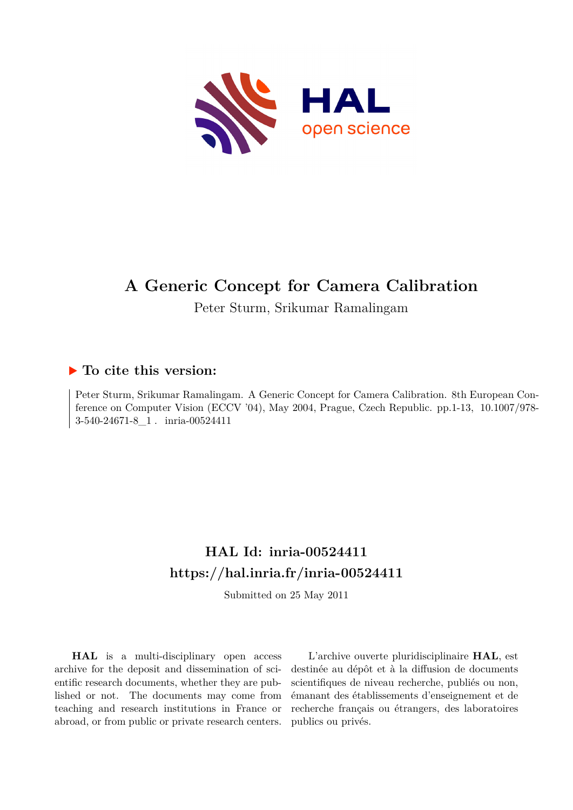

# **A Generic Concept for Camera Calibration**

Peter Sturm, Srikumar Ramalingam

# **To cite this version:**

Peter Sturm, Srikumar Ramalingam. A Generic Concept for Camera Calibration. 8th European Conference on Computer Vision (ECCV '04), May 2004, Prague, Czech Republic. pp.1-13,  $10.1007/978$ -3-540-24671-8 1 . inria-00524411

# **HAL Id: inria-00524411 <https://hal.inria.fr/inria-00524411>**

Submitted on 25 May 2011

**HAL** is a multi-disciplinary open access archive for the deposit and dissemination of scientific research documents, whether they are published or not. The documents may come from teaching and research institutions in France or abroad, or from public or private research centers.

L'archive ouverte pluridisciplinaire **HAL**, est destinée au dépôt et à la diffusion de documents scientifiques de niveau recherche, publiés ou non, émanant des établissements d'enseignement et de recherche français ou étrangers, des laboratoires publics ou privés.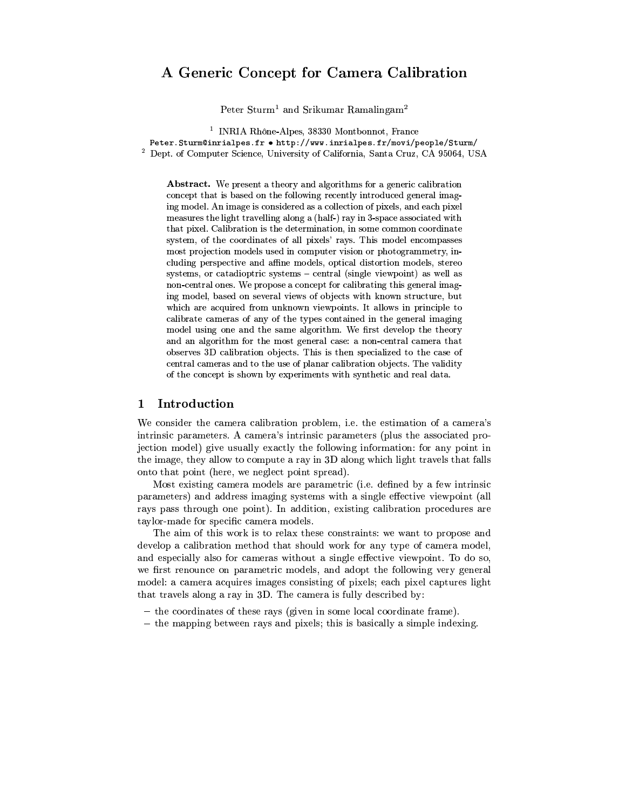# A Generic Concept for Camera Calibration

Peter Sturm<sup>1</sup> and Srikumar Ramalingam<sup>2</sup>

<sup>1</sup> INRIA Rhône-Alpes, 38330 Montbonnot, France

Peter. Sturm@inrialpes.fr . http://www.inrialpes.fr/movi/people/Sturm/ <sup>2</sup> Dept. of Computer Science, University of California, Santa Cruz, CA 95064, USA

Abstract. We present a theory and algorithms for a generic calibration concept that is based on the following recently introduced general imaging model. An image is considered as a collection of pixels, and each pixel measures the light travelling along a (half-) ray in 3-space associated with that pixel. Calibration is the determination, in some common coordinate system, of the coordinates of all pixels' rays. This model encompasses most projection models used in computer vision or photogrammetry, including perspective and affine models, optical distortion models, stereo systems, or catadioptric systems - central (single viewpoint) as well as non-central ones. We propose a concept for calibrating this general imaging model, based on several views of objects with known structure, but which are acquired from unknown viewpoints. It allows in principle to calibrate cameras of any of the types contained in the general imaging model using one and the same algorithm. We first develop the theory and an algorithm for the most general case: a non-central camera that observes 3D calibration objects. This is then specialized to the case of central cameras and to the use of planar calibration objects. The validity of the concept is shown by experiments with synthetic and real data.

### $\mathbf{1}$ Introduction

We consider the camera calibration problem, i.e. the estimation of a camera's intrinsic parameters. A camera's intrinsic parameters (plus the associated projection model) give usually exactly the following information: for any point in the image, they allow to compute a ray in 3D along which light travels that falls onto that point (here, we neglect point spread).

Most existing camera models are parametric (i.e. defined by a few intrinsic parameters) and address imaging systems with a single effective viewpoint (all rays pass through one point). In addition, existing calibration procedures are taylor-made for specific camera models.

The aim of this work is to relax these constraints: we want to propose and develop a calibration method that should work for any type of camera model, and especially also for cameras without a single effective viewpoint. To do so, we first renounce on parametric models, and adopt the following very general model: a camera acquires images consisting of pixels; each pixel captures light that travels along a ray in 3D. The camera is fully described by:

- the coordinates of these rays (given in some local coordinate frame).
- the mapping between rays and pixels; this is basically a simple indexing.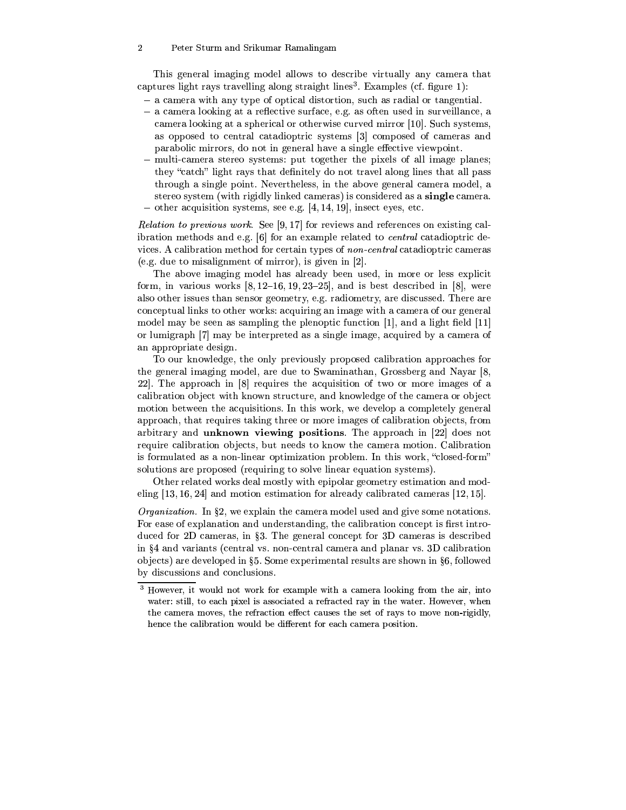#### $\overline{2}$ Peter Sturm and Srikumar Ramalingam

This general imaging model allows to describe virtually any camera that captures light rays travelling along straight lines<sup>3</sup>. Examples (cf. figure 1):

- $-$  a camera with any type of optical distortion, such as radial or tangential.
- a camera looking at a reflective surface, e.g. as often used in surveillance, a camera looking at a spherical or otherwise curved mirror [10]. Such systems, as opposed to central catadioptric systems [3] composed of cameras and parabolic mirrors, do not in general have a single effective viewpoint.
- multi-camera stereo systems: put together the pixels of all image planes; they "catch" light rays that definitely do not travel along lines that all pass through a single point. Nevertheless, in the above general camera model, a stereo system (with rigidly linked cameras) is considered as a single camera. - other acquisition systems, see e.g.  $[4, 14, 19]$ , insect eyes, etc.

Relation to previous work. See [9,17] for reviews and references on existing calibration methods and e.g. [6] for an example related to *central* catadioptric devices. A calibration method for certain types of non-central catadioptric cameras (e.g. due to misalignment of mirror), is given in  $[2]$ .

The above imaging model has already been used, in more or less explicit form, in various works  $[8, 12-16, 19, 23-25]$ , and is best described in [8], were also other issues than sensor geometry, e.g. radiometry, are discussed. There are conceptual links to other works: acquiring an image with a camera of our general model may be seen as sampling the plenoptic function  $[1]$ , and a light field  $[11]$ or lumigraph [7] may be interpreted as a single image, acquired by a camera of an appropriate design.

To our knowledge, the only previously proposed calibration approaches for the general imaging model, are due to Swaminathan, Grossberg and Nayar [8, 22. The approach in [8] requires the acquisition of two or more images of a calibration object with known structure, and knowledge of the camera or object motion between the acquisitions. In this work, we develop a completely general approach, that requires taking three or more images of calibration objects, from arbitrary and **unknown viewing positions**. The approach in [22] does not require calibration objects, but needs to know the camera motion. Calibration is formulated as a non-linear optimization problem. In this work, "closed-form" solutions are proposed (requiring to solve linear equation systems).

Other related works deal mostly with epipolar geometry estimation and modeling [13, 16, 24] and motion estimation for already calibrated cameras  $[12, 15]$ .

*Organization*. In  $\S2$ , we explain the camera model used and give some notations. For ease of explanation and understanding, the calibration concept is first introduced for 2D cameras, in §3. The general concept for 3D cameras is described in §4 and variants (central vs. non-central camera and planar vs. 3D calibration objects) are developed in §5. Some experimental results are shown in §6, followed by discussions and conclusions.

 $3$  However, it would not work for example with a camera looking from the air, into water: still, to each pixel is associated a refracted ray in the water. However, when the camera moves, the refraction effect causes the set of rays to move non-rigidly, hence the calibration would be different for each camera position.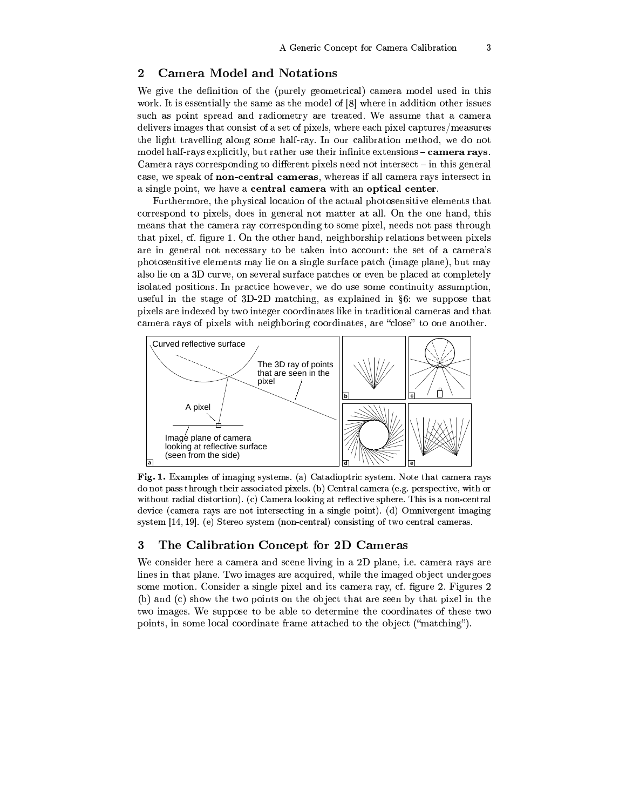3

# **Camera Model and Notations**  $\boldsymbol{2}$

We give the definition of the (purely geometrical) camera model used in this work. It is essentially the same as the model of  $[8]$  where in addition other issues such as point spread and radiometry are treated. We assume that a camera delivers images that consist of a set of pixels, where each pixel captures/measures the light travelling along some half-ray. In our calibration method, we do not model half-rays explicitly, but rather use their infinite extensions - camera rays. Camera rays corresponding to different pixels need not intersect – in this general case, we speak of non-central cameras, whereas if all camera rays intersect in a single point, we have a central camera with an optical center.

Furthermore, the physical location of the actual photosensitive elements that correspond to pixels, does in general not matter at all. On the one hand, this means that the camera ray corresponding to some pixel, needs not pass through that pixel, cf. figure 1. On the other hand, neighborship relations between pixels are in general not necessary to be taken into account: the set of a camera's photosensitive elements may lie on a single surface patch (image plane), but may also lie on a 3D curve, on several surface patches or even be placed at completely isolated positions. In practice however, we do use some continuity assumption, useful in the stage of 3D-2D matching, as explained in  $§6$ : we suppose that pixels are indexed by two integer coordinates like in traditional cameras and that camera rays of pixels with neighboring coordinates, are "close" to one another.



Fig. 1. Examples of imaging systems. (a) Catadioptric system. Note that camera rays do not pass through their associated pixels. (b) Central camera (e.g. perspective, with or without radial distortion). (c) Camera looking at reflective sphere. This is a non-central device (camera rays are not intersecting in a single point). (d) Omnivergent imaging system [14, 19]. (e) Stereo system (non-central) consisting of two central cameras.

## The Calibration Concept for 2D Cameras 3

We consider here a camera and scene living in a 2D plane, i.e. camera rays are lines in that plane. Two images are acquired, while the imaged object undergoes some motion. Consider a single pixel and its camera ray, cf. figure 2. Figures 2 (b) and (c) show the two points on the object that are seen by that pixel in the two images. We suppose to be able to determine the coordinates of these two points, in some local coordinate frame attached to the object ("matching").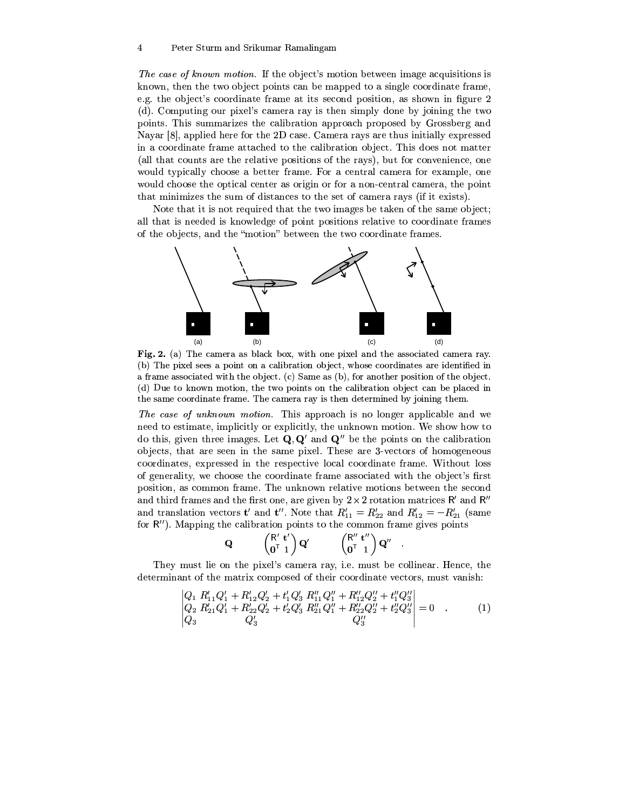#### 4 Peter Sturm and Srikumar Ramalingam

*The case of known motion.* If the object's motion between image acquisitions is known, then the two object points can be mapped to a single coordinate frame, e.g. the object's coordinate frame at its second position, as shown in figure 2 (d). Computing our pixel's camera ray is then simply done by joining the two points. This summarizes the calibration approach proposed by Grossberg and Nayar [8], applied here for the 2D case. Camera rays are thus initially expressed in a coordinate frame attached to the calibration object. This does not matter (all that counts are the relative positions of the rays), but for convenience, one would typically choose a better frame. For a central camera for example, one would choose the optical center as origin or for a non-central camera, the point that minimizes the sum of distances to the set of camera rays (if it exists).

Note that it is not required that the two images be taken of the same object; all that is needed is knowledge of point positions relative to coordinate frames of the objects, and the "motion" between the two coordinate frames.



Fig. 2. (a) The camera as black box, with one pixel and the associated camera ray. (b) The pixel sees a point on a calibration object, whose coordinates are identified in a frame associated with the object. (c) Same as (b), for another position of the object. (d) Due to known motion, the two points on the calibration object can be placed in the same coordinate frame. The camera ray is then determined by joining them.

The case of unknown motion. This approach is no longer applicable and we need to estimate, implicitly or explicitly, the unknown motion. We show how to do this, given three images. Let  $\mathbf{Q}, \mathbf{Q}'$  and  $\mathbf{Q}''$  be the points on the calibration objects, that are seen in the same pixel. These are 3-vectors of homogeneous coordinates, expressed in the respective local coordinate frame. Without loss of generality, we choose the coordinate frame associated with the object's first position, as common frame. The unknown relative motions between the second and third frames and the first one, are given by  $2\times 2$  rotation matrices  $\mathsf{R}'$  and  $\mathsf{R}''$ and translation vectors  $t'$  and  $t''$ . Note that  $R'_{11} = R'_{22}$  and  $R'_{12} = -R'_{21}$  (same for  $R''$ ). Mapping the calibration points to the common frame gives points

$$
\mathbf{Q} \qquad \quad \begin{pmatrix} \mathsf{R}' \ \mathbf{t}' \\ \mathbf{0}^\top \ 1 \end{pmatrix} \mathbf{Q}' \qquad \quad \begin{pmatrix} \mathsf{R}'' \ \mathbf{t}'' \\ \mathbf{0}^\top \ 1 \end{pmatrix} \mathbf{Q}''
$$

They must lie on the pixel's camera ray, i.e. must be collinear. Hence, the determinant of the matrix composed of their coordinate vectors, must vanish:

$$
\begin{vmatrix}\nQ_1 R'_{11} Q'_1 + R'_{12} Q'_2 + t'_1 Q'_3 R''_{11} Q''_1 + R''_{12} Q''_2 + t''_1 Q''_3 \\
Q_2 R'_{21} Q'_1 + R'_{22} Q'_2 + t'_2 Q'_3 R''_{21} Q''_1 + R''_{22} Q''_2 + t''_2 Q''_3 \\
Q'_3 & Q'_3 & Q''_3\n\end{vmatrix} = 0 . \qquad (1)
$$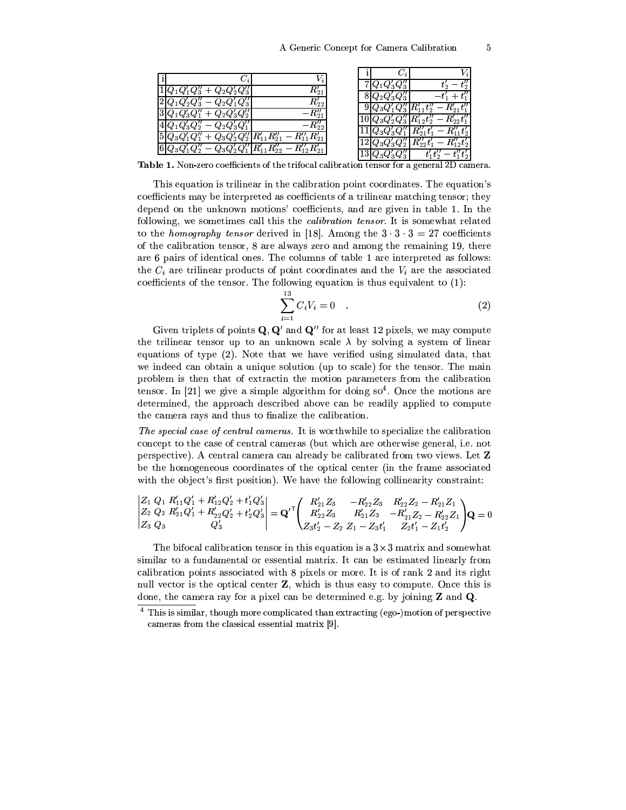|                                                                                    |      |     | $V_i$                                                                             |
|------------------------------------------------------------------------------------|------|-----|-----------------------------------------------------------------------------------|
| Ϊi                                                                                 |      |     | しっ                                                                                |
| $R'_{21}$                                                                          |      |     |                                                                                   |
| $R_{22}'$                                                                          |      |     | $\overline{R_{21}'t_{1}''}$<br>1 <sub>b</sub>                                     |
| $R_{21}^{\prime\prime}$                                                            |      |     | $R_{12}'t_2''$<br>$\overline{R_{22}'t_1''}$                                       |
| $-\overline{R_{22}^{\prime\prime}}$ l<br>4                                         |      |     | $\overline{R_{11}''t_2'}$<br>$\overline{R_{21}''t_1'}$                            |
| $R_{11}^{\prime\prime}R_{21}^{\prime}$<br>$R_{21}''$                               |      |     | $R_{12}^{\prime\prime}t_{2}^{\prime}$<br>$\pi_{22}$ <sub><math>\iota</math></sub> |
| $Q_3Q_2Q_1^{\prime\prime}$ lı.<br>$\langle R'_{11}R''_{22}-R''_{12}R'_{21}\rangle$ | ויט⊥ | ს ა | $\sqrt[n]{t'_2}$<br>$t_1^\prime t_2^{\prime\prime}$                               |

Table 1. Non-zero coefficients of the trifocal calibration tensor for a general 2D camera.

This equation is trilinear in the calibration point coordinates. The equation's coefficients may be interpreted as coefficients of a trilinear matching tensor; they depend on the unknown motions' coefficients, and are given in table 1. In the following, we sometimes call this the *calibration tensor*. It is somewhat related to the *homography tensor* derived in [18]. Among the  $3 \cdot 3 \cdot 3 = 27$  coefficients of the calibration tensor, 8 are always zero and among the remaining 19, there are 6 pairs of identical ones. The columns of table 1 are interpreted as follows: the  $C_i$  are trilinear products of point coordinates and the  $V_i$  are the associated coefficients of the tensor. The following equation is thus equivalent to  $(1)$ :

$$
\sum_{i=1}^{13} C_i V_i = 0 \quad . \tag{2}
$$

Given triplets of points  $\mathbf{Q},\mathbf{Q}'$  and  $\mathbf{Q}''$  for at least 12 pixels, we may compute the trilinear tensor up to an unknown scale  $\lambda$  by solving a system of linear equations of type  $(2)$ . Note that we have verified using simulated data, that we indeed can obtain a unique solution (up to scale) for the tensor. The main problem is then that of extractin the motion parameters from the calibration tensor. In [21] we give a simple algorithm for doing  $so^4$ . Once the motions are determined, the approach described above can be readily applied to compute the camera rays and thus to finalize the calibration.

The special case of central cameras. It is worthwhile to specialize the calibration concept to the case of central cameras (but which are otherwise general, i.e. not perspective). A central camera can already be calibrated from two views. Let **Z** be the homogeneous coordinates of the optical center (in the frame associated with the object's first position). We have the following collinearity constraint:

$$
\begin{vmatrix} Z_1 & Q_1 & R'_{11}Q'_1 + R'_{12}Q'_2 + t'_1Q'_3 \\ Z_2 & Q_2 & R'_{21}Q'_1 + R'_{22}Q'_2 + t'_2Q'_3 \\ Z_3 & Q_3 & Q'_3 \end{vmatrix} = \mathbf{Q'}^{\mathsf{T}} \begin{pmatrix} R'_{21}Z_3 & -R'_{22}Z_3 & R'_{22}Z_2 - R'_{21}Z_1 \\ R'_{22}Z_3 & R'_{21}Z_3 & -R'_{21}Z_2 - R'_{22}Z_1 \\ Z_3t'_2 - Z_2 & Z_1 - Z_3t'_1 & Z_2t'_1 - Z_1t'_2 \end{pmatrix} \mathbf{Q} = 0
$$

The bifocal calibration tensor in this equation is a  $3 \times 3$  matrix and somewhat similar to a fundamental or essential matrix. It can be estimated linearly from calibration points associated with 8 pixels or more. It is of rank 2 and its right null vector is the optical center Z, which is thus easy to compute. Once this is done, the camera ray for a pixel can be determined e.g. by joining  $Z$  and  $Q$ .

 $4$  This is similar, though more complicated than extracting (ego-)motion of perspective cameras from the classical essential matrix [9].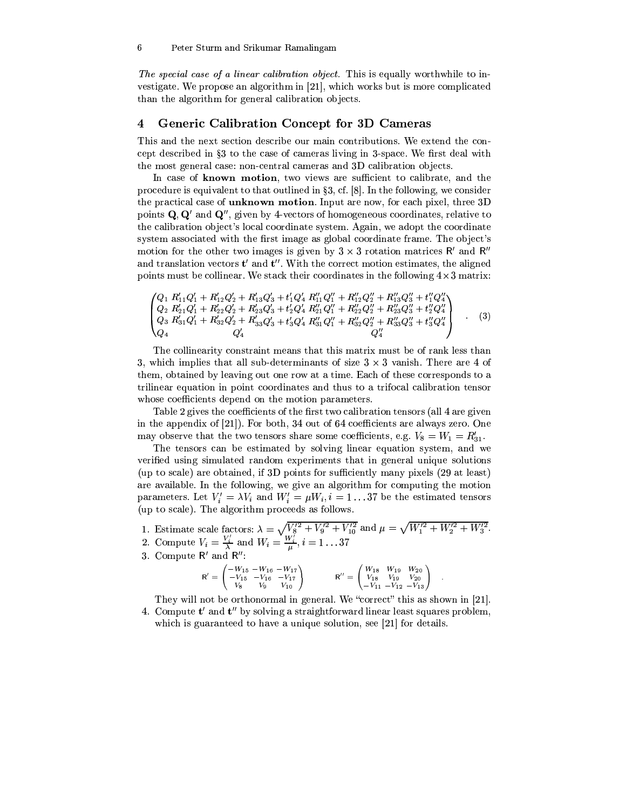The special case of a linear calibration object. This is equally worthwhile to investigate. We propose an algorithm in [21], which works but is more complicated than the algorithm for general calibration objects.

## Generic Calibration Concept for 3D Cameras  $\bf{4}$

This and the next section describe our main contributions. We extend the concept described in §3 to the case of cameras living in 3-space. We first deal with the most general case: non-central cameras and 3D calibration objects.

In case of known motion, two views are sufficient to calibrate, and the procedure is equivalent to that outlined in  $\S 3$ , cf. [8]. In the following, we consider the practical case of unknown motion. Input are now, for each pixel, three 3D points  $\mathbf{Q}, \mathbf{Q}'$  and  $\mathbf{Q}''$ , given by 4-vectors of homogeneous coordinates, relative to the calibration object's local coordinate system. Again, we adopt the coordinate system associated with the first image as global coordinate frame. The object's motion for the other two images is given by  $3 \times 3$  rotation matrices R' and R'' and translation vectors  $t'$  and  $t''$ . With the correct motion estimates, the aligned points must be collinear. We stack their coordinates in the following  $4 \times 3$  matrix:

$$
\begin{pmatrix}\nQ_1 & R'_{11}Q'_1 + R'_{12}Q'_2 + R'_{13}Q'_3 + t'_1Q'_4 & R''_{11}Q''_1 + R''_{12}Q''_2 + R''_{13}Q''_3 + t''_1Q''_4 \\
Q_2 & R'_{21}Q'_1 + R'_{22}Q'_2 + R'_{23}Q'_3 + t'_2Q'_4 & R''_{21}Q''_1 + R''_{22}Q''_2 + R''_{23}Q''_3 + t''_2Q''_4 \\
Q_3 & R'_{31}Q'_1 + R'_{32}Q'_2 + R'_{33}Q'_3 + t'_3Q'_4 & R''_{31}Q''_1 + R''_{32}Q''_2 + R''_{33}Q''_3 + t''_3Q''_4 \\
Q'_4 & Q'_4\n\end{pmatrix}
$$
\n(3)

The collinearity constraint means that this matrix must be of rank less than 3, which implies that all sub-determinants of size  $3 \times 3$  vanish. There are 4 of them, obtained by leaving out one row at a time. Each of these corresponds to a trilinear equation in point coordinates and thus to a trifocal calibration tensor whose coefficients depend on the motion parameters.

Table 2 gives the coefficients of the first two calibration tensors (all 4 are given in the appendix of  $[21]$ . For both, 34 out of 64 coefficients are always zero. One may observe that the two tensors share some coefficients, e.g.  $V_8 = W_1 = R'_{31}$ .

The tensors can be estimated by solving linear equation system, and we verified using simulated random experiments that in general unique solutions (up to scale) are obtained, if 3D points for sufficiently many pixels (29 at least) are available. In the following, we give an algorithm for computing the motion parameters. Let  $V_i' = \lambda V_i$  and  $W_i' = \mu W_i$ ,  $i = 1...37$  be the estimated tensors (up to scale). The algorithm proceeds as follows.

- 1. Estimate scale factors:  $\lambda = \sqrt{V_8'^2 + V_9'^2 + V_{10}'^2}$  and  $\mu = \sqrt{W_1'^2 + W_2'^2 + W_3'^2}$ .<br>2. Compute  $V_i = \frac{V_i'}{\lambda}$  and  $W_i = \frac{W_i'}{\mu}$ ,  $i = 1 \dots 37$
- 
- 3. Compute  $R'$  and  $R''$ :

$$
\mathsf{R}' = \begin{pmatrix} -W_{15} & -W_{16} & -W_{17} \\ -V_{15} & -V_{16} & -V_{17} \\ V_8 & V_9 & V_{10} \end{pmatrix} \qquad \qquad \mathsf{R}'' = \begin{pmatrix} W_{18} & W_{19} & W_{20} \\ V_{18} & V_{19} & V_{20} \\ -V_{11} & -V_{12} & -V_{13} \end{pmatrix}
$$

They will not be orthonormal in general. We "correct" this as shown in [21].

4. Compute  $t'$  and  $t''$  by solving a straightforward linear least squares problem. which is guaranteed to have a unique solution, see [21] for details.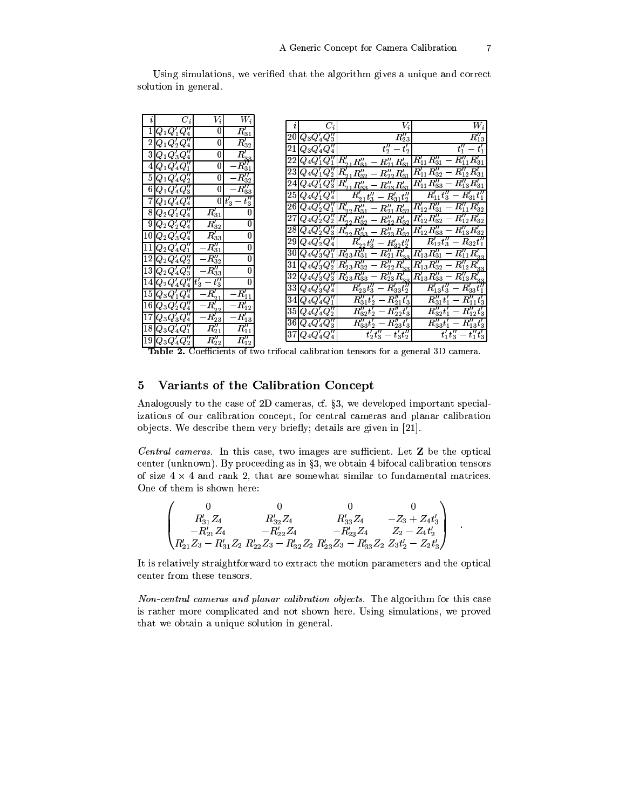|     | $\scriptstyle{C_i}$ | $\scriptstyle{V_i}$                  | $W_i$                                           |                 | $\overline{C_i}$                       | $\scriptstyle{V_i}$                                                       | $W_i$                                                                                                                       |
|-----|---------------------|--------------------------------------|-------------------------------------------------|-----------------|----------------------------------------|---------------------------------------------------------------------------|-----------------------------------------------------------------------------------------------------------------------------|
|     | $Q_1Q_1'Q_4''$      | 0                                    | $\overline{R'_{31}}$                            | $\imath$        |                                        |                                                                           |                                                                                                                             |
|     | $Q_1Q_2'Q_4''$      | 0                                    | $R_{32}^{\prime}$                               | $20 \,$         | $Q_3Q_4'Q_3''$                         | $R_{23}^{\prime\prime}$                                                   | $R_{13}''$                                                                                                                  |
|     |                     |                                      |                                                 | 21I             | $Q_3Q_4'Q_4^{\overline{\prime}\prime}$ | $t_{2}^{\prime\prime}$<br>$-t_{2}^{\prime}$                               | $t_1^{\prime\prime}-t_1^{\prime}$                                                                                           |
|     | $Q_1Q_3'Q_4''$      | 0                                    | $\frac{R_{33}^{\prime}}{R_{31}^{\prime\prime}}$ | 22              | $Q_4Q_1'Q_1''$                         | $R_{\circ}'$<br>$R_{21}''R_{31}'$<br>$R_{31}''$                           | $R_{11}^{\prime\prime}R_{31}^{\prime}$<br>$R_{11}^{\prime}R_{31}^{\prime\prime}$                                            |
|     | $Q_1Q_4'Q_1''$      | 0                                    |                                                 | 23              | $Q_4Q'_1$<br>$Q_2^{\prime\prime}$      | $R_{22}''R_{31}'$<br>$R_{32}''$                                           | $R_{11}^{\prime}R_{32}^{\prime\prime}$ $-$<br>$R_{12}''R_{31}'$                                                             |
|     | $5 Q_1Q_4'Q_2''$    | 0                                    | $R_{32}^{\prime\prime}$                         | 241             |                                        |                                                                           | $R_{11}^{\prime}R_{33}^{\prime\prime}$ $-$<br>$R_{13}^{\prime\prime}R_{31}^{\prime}$                                        |
|     | $6 Q_1Q'_4Q''_3$    | 0                                    | $R_{33}^{\prime\prime}$                         |                 | $Q_4Q_1'Q_3''$                         | $R_{\rm o}'$<br>$R_{23}''R_{31}'$<br>$R_{33}''$                           |                                                                                                                             |
|     | $7 Q_1Q'_4Q''_4$    |                                      | $t_{3}^{\prime\prime}$<br>$0 t'_3-$             | $25\vert$       | $Q_4Q'_1$                              | $R_{21}' t_3''$<br>$R_{31}^\prime t_2^{\prime\prime}$                     | $R_{31}'t_1''$<br>$R_{11}^\prime t_3^{\prime\prime}$ $-$                                                                    |
|     |                     | $R_{31}^{\prime}$                    | $\overline{0}$                                  | 26              | $Q_4Q_2'Q_1'$                          | $R'_{22}$<br>$R_{21}''R_{32}'$<br>$R_{21}''$                              | $R_{12}'R_{31}''-$<br>$R_{11}^{\prime\prime}R_{32}^{\prime}$                                                                |
|     | $8 Q_2Q'_1Q''_4$    |                                      |                                                 | 27              | $Q_4Q_2'Q_2''$                         | $R_{\alpha}^{\prime}$<br>$R_{22}''R_{32}'$<br>$R_{32}''$                  | $R_{12}'R_{32}''-$<br>$\overline{R_{12}^{\prime\prime}R_{32}^{\prime\prime}}$                                               |
|     | $9 Q_2Q'_2Q''_4$    | $R_{32}^{\prime}$                    | 0                                               | 281             | $Q_4Q_2'Q_3''$                         | $R_{22}^{\prime}R_{33}^{\prime\prime}$                                    | $\frac{1}{16}R_{23}''R_{32}' \overline{R_{12}'}R_{33}''-\overline{R_{13}''R_{32}'} $                                        |
| 10  | $Q_2Q_3'Q_4''$      | $R'_{33}$                            | 0                                               | 29              | $Q_4Q_2'Q_4''$                         | $R_{22}'t_{3}''-R_{32}'t_{2}''$                                           | $R_{12}'t_{3}''-R_{32}t_{1}''$                                                                                              |
|     | $Q_2Q_4'Q_1''$      | $\overline{R_{31}^{\prime\prime}}$ l | 0                                               |                 |                                        |                                                                           |                                                                                                                             |
| 12  | $Q_2Q_4'Q_2''$      | $-R_{32}^{\prime\prime}$             | 0                                               | 30 <sup>°</sup> | $Q_4Q_3'Q_1''$                         | $R_{23}'R_{31}''=$<br>$R_{21}''R_{33}'$                                   | $R_{13}'R_{31}''-R_{11}'R_{33}'$                                                                                            |
| 13I | $Q_2Q'_4Q''_3$      | $R_{33}^{\prime\prime}$              | 0                                               | 31              | $Q_4Q_3'Q_2''$                         | $R_{23}^{\prime}R_{32}^{\prime\prime}$ $-$<br>$R_{22}''R_{33}'$           | $\overline{R_{13}^{\prime}R_{32}^{\prime\prime}-R_{12}^{\prime\prime}R_{33}^{\prime}}$                                      |
|     |                     |                                      | $\bf{0}$                                        | 32              | $Q_4Q_3'Q_3''$                         | $R_{23}'R_{33}''-$                                                        |                                                                                                                             |
|     | $14 Q_2Q'_4Q''_4$   | $t_{3}^{\prime\prime}$<br>$t_3'$     |                                                 | 33 I            | $Q_4Q_3'Q_4''$                         | $\overline{R'_{23}t''_{3}-R'_{33}t''_{2}} $                               | $\frac{\overline{R_{23}''R_{33}'}\overline{R_{13}'}R_{33}'-R_{13}'R_{33}''}{-R_{33}'t_{2}''-R_{13}'t_{3}''-R_{33}'t_{1}''}$ |
|     | $15 Q_3Q'_1$        | $R'_{21}$                            | $R'_{11}$                                       | 34              | $ Q_4Q_4' \overline{Q_1''} $           | $R_{31}^{\prime\prime}t_{2}^{\prime}$ $-$<br>$R_{21}''t_3'$               | $R_{31}''t_1'-R_{11}''t_3'$                                                                                                 |
| 16  | $Q_3Q_2'Q_4''$      | $-R'_{22}$                           | $R_{12}'$                                       | 35 <sup>1</sup> | $Q_4 Q_4' Q_2''$                       | $R_{32}^{\prime\prime}t_{2}^{\prime}-R_{22}^{\prime\prime}t_{3}^{\prime}$ | $R_{32}''t_1' =$<br>$R_{12}''t_3'$                                                                                          |
| 17  | $Q_3Q_3'Q_4''$      | $R_{23}'$                            | $\overline{R'_{13}}$                            |                 |                                        |                                                                           |                                                                                                                             |
|     | $18 Q_3Q_4'Q_1''$   | $R_{21}''$                           | $R_{11}''$                                      | 36 <sup>l</sup> | $Q_4Q'_4\bar{Q''_3}$                   | $\left. R_{33}''t_2'-R_{23}''t_3' \right $                                | $R_{33}''t_{1}'-R_{13}''t_{3}'$                                                                                             |
|     | $19 Q_3Q'_4Q''_2 $  | $R_{22}''$                           | $R_{12}''$                                      | 37              | $Q_4 Q_4' Q_4''$                       | $\left\vert t_2't_3^{\prime\prime}-t_3't_2^{\prime\prime}\right\vert$     | $t_1't_3''-t_1''t_3'$                                                                                                       |
|     |                     |                                      |                                                 |                 |                                        |                                                                           |                                                                                                                             |

Using simulations, we verified that the algorithm gives a unique and correct solution in general.

Table 2. Coefficients of two trifocal calibration tensors for a general 3D camera.

# Variants of the Calibration Concept  $\overline{5}$

Analogously to the case of 2D cameras, cf. §3, we developed important specializations of our calibration concept, for central cameras and planar calibration objects. We describe them very briefly; details are given in [21].

*Central cameras.* In this case, two images are sufficient. Let  $Z$  be the optical center (unknown). By proceeding as in §3, we obtain 4 bifocal calibration tensors of size  $4 \times 4$  and rank 2, that are somewhat similar to fundamental matrices. One of them is shown here:

$$
\begin{pmatrix} 0 & 0 & 0 & 0 \\ R'_{31}Z_4 & R'_{32}Z_4 & R'_{33}Z_4 & -Z_3+Z_4t'_3 \\ -R'_{21}Z_4 & -R'_{22}Z_4 & -R'_{23}Z_4 & Z_2-Z_4t'_2 \\ R'_{21}Z_3-R'_{31}Z_2\ R'_{22}Z_3-R'_{32}Z_2\ R'_{23}Z_3-R'_{33}Z_2\ Z_3t'_2-Z_2t'_3 \end{pmatrix}
$$

It is relatively straightforward to extract the motion parameters and the optical center from these tensors.

Non-central cameras and planar calibration objects. The algorithm for this case is rather more complicated and not shown here. Using simulations, we proved that we obtain a unique solution in general.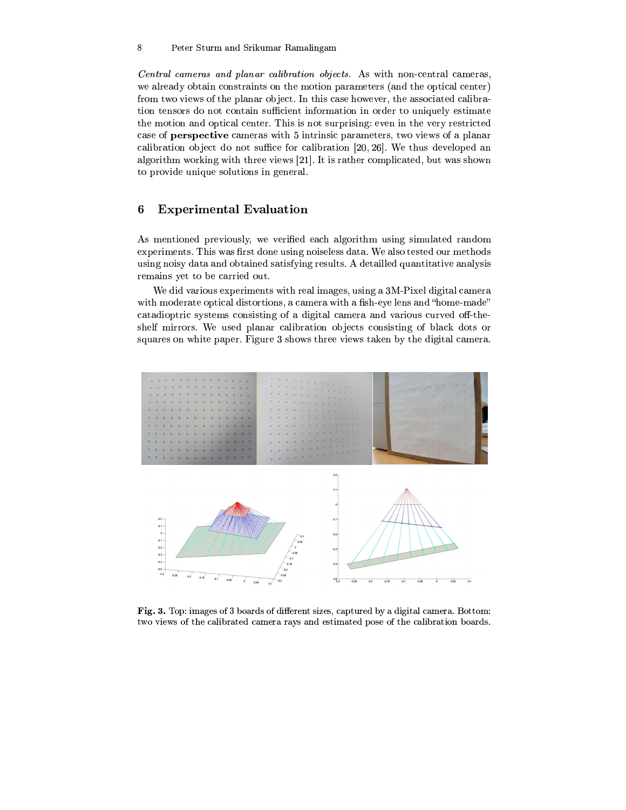#### $\,$  8  $\,$ Peter Sturm and Srikumar Ramalingam

Central cameras and planar calibration objects. As with non-central cameras, we already obtain constraints on the motion parameters (and the optical center) from two views of the planar object. In this case however, the associated calibration tensors do not contain sufficient information in order to uniquely estimate the motion and optical center. This is not surprising: even in the very restricted case of perspective cameras with 5 intrinsic parameters, two views of a planar calibration object do not suffice for calibration  $[20, 26]$ . We thus developed an algorithm working with three views [21]. It is rather complicated, but was shown to provide unique solutions in general.

### **Experimental Evaluation** 6

As mentioned previously, we verified each algorithm using simulated random experiments. This was first done using noiseless data. We also tested our methods using noisy data and obtained satisfying results. A detailled quantitative analysis remains yet to be carried out.

We did various experiments with real images, using a 3M-Pixel digital camera with moderate optical distortions, a camera with a fish-eye lens and "home-made" catadioptric systems consisting of a digital camera and various curved off-theshelf mirrors. We used planar calibration objects consisting of black dots or squares on white paper. Figure 3 shows three views taken by the digital camera.



Fig. 3. Top: images of 3 boards of different sizes, captured by a digital camera. Bottom: two views of the calibrated camera rays and estimated pose of the calibration boards.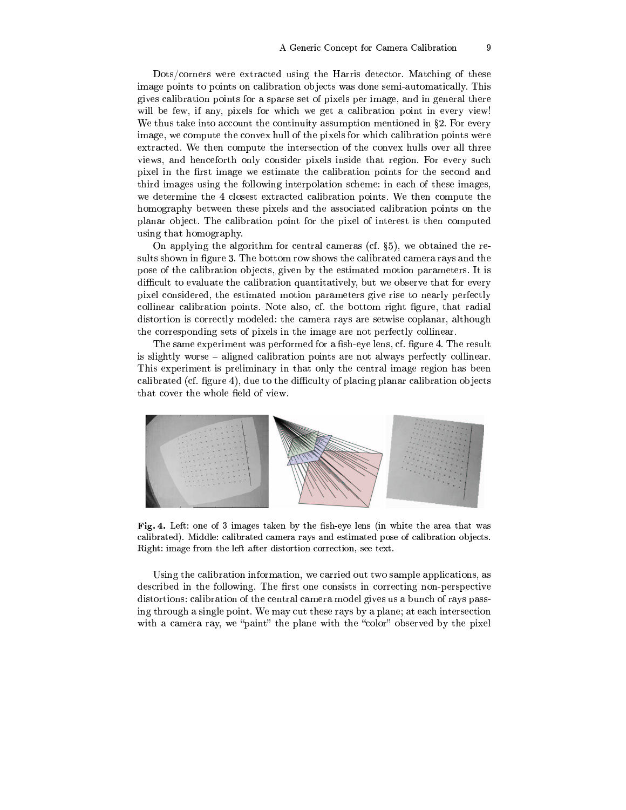Dots/corners were extracted using the Harris detector. Matching of these image points to points on calibration objects was done semi-automatically. This gives calibration points for a sparse set of pixels per image, and in general there will be few, if any, pixels for which we get a calibration point in every view! We thus take into account the continuity assumption mentioned in  $\S$ 2. For every image, we compute the convex hull of the pixels for which calibration points were extracted. We then compute the intersection of the convex hulls over all three views, and henceforth only consider pixels inside that region. For every such pixel in the first image we estimate the calibration points for the second and third images using the following interpolation scheme: in each of these images, we determine the 4 closest extracted calibration points. We then compute the homography between these pixels and the associated calibration points on the planar object. The calibration point for the pixel of interest is then computed using that homography.

On applying the algorithm for central cameras (cf.  $\S5$ ), we obtained the results shown in figure 3. The bottom row shows the calibrated camera rays and the pose of the calibration objects, given by the estimated motion parameters. It is difficult to evaluate the calibration quantitatively, but we observe that for every pixel considered, the estimated motion parameters give rise to nearly perfectly collinear calibration points. Note also, cf. the bottom right figure, that radial distortion is correctly modeled: the camera rays are setwise coplanar, although the corresponding sets of pixels in the image are not perfectly collinear.

The same experiment was performed for a fish-eye lens, cf. figure 4. The result is slightly worse – aligned calibration points are not always perfectly collinear. This experiment is preliminary in that only the central image region has been calibrated (cf. figure 4), due to the difficulty of placing planar calibration objects that cover the whole field of view.



Fig. 4. Left: one of 3 images taken by the fish-eye lens (in white the area that was calibrated). Middle: calibrated camera rays and estimated pose of calibration objects. Right: image from the left after distortion correction, see text.

Using the calibration information, we carried out two sample applications, as described in the following. The first one consists in correcting non-perspective distortions: calibration of the central camera model gives us a bunch of rays passing through a single point. We may cut these rays by a plane; at each intersection with a camera ray, we "paint" the plane with the "color" observed by the pixel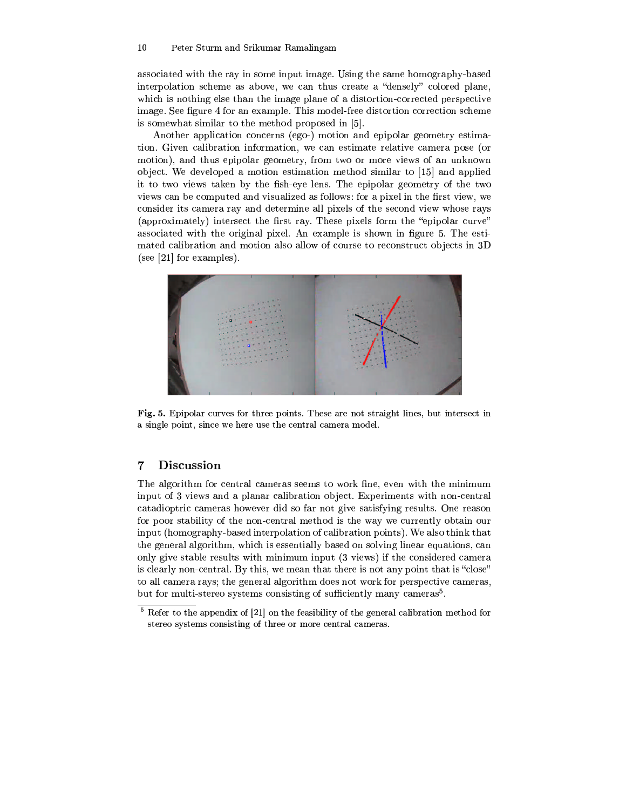associated with the ray in some input image. Using the same homography-based interpolation scheme as above, we can thus create a "densely" colored plane, which is nothing else than the image plane of a distortion-corrected perspective image. See figure 4 for an example. This model-free distortion correction scheme is somewhat similar to the method proposed in [5].

Another application concerns (ego-) motion and epipolar geometry estimation. Given calibration information, we can estimate relative camera pose (or motion), and thus epipolar geometry, from two or more views of an unknown object. We developed a motion estimation method similar to [15] and applied it to two views taken by the fish-eye lens. The epipolar geometry of the two views can be computed and visualized as follows: for a pixel in the first view, we consider its camera ray and determine all pixels of the second view whose rays (approximately) intersect the first ray. These pixels form the "epipolar curve" associated with the original pixel. An example is shown in figure 5. The estimated calibration and motion also allow of course to reconstruct objects in 3D (see [21] for examples).



Fig. 5. Epipolar curves for three points. These are not straight lines, but intersect in a single point, since we here use the central camera model.

# $\overline{7}$ Discussion

The algorithm for central cameras seems to work fine, even with the minimum input of 3 views and a planar calibration object. Experiments with non-central catadioptric cameras however did so far not give satisfying results. One reason for poor stability of the non-central method is the way we currently obtain our input (homography-based interpolation of calibration points). We also think that the general algorithm, which is essentially based on solving linear equations, can only give stable results with minimum input (3 views) if the considered camera is clearly non-central. By this, we mean that there is not any point that is "close" to all camera rays; the general algorithm does not work for perspective cameras, but for multi-stereo systems consisting of sufficiently many cameras<sup>5</sup>.

 $\overline{5}$ Refer to the appendix of [21] on the feasibility of the general calibration method for stereo systems consisting of three or more central cameras.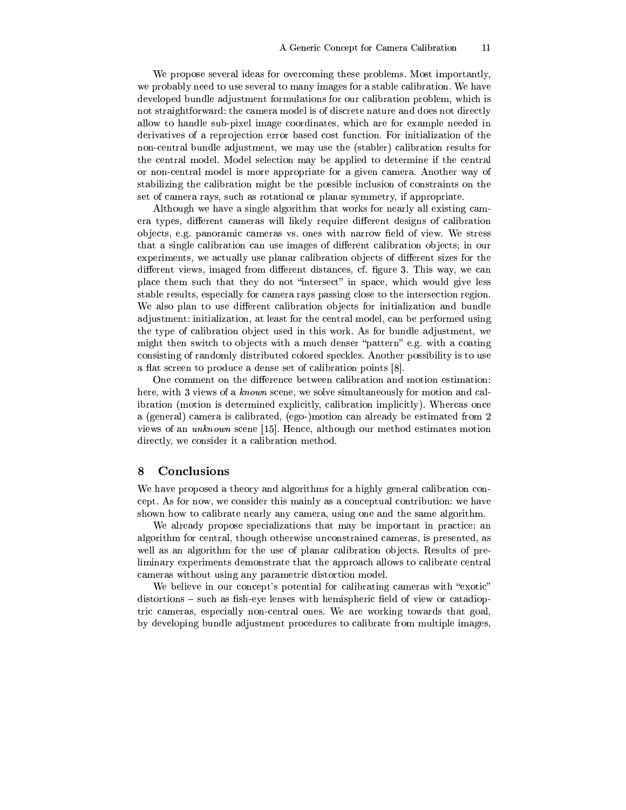We propose several ideas for overcoming these problems. Most importantly, we probably need to use several to many images for a stable calibration. We have developed bundle adjustment formulations for our calibration problem, which is not straightforward: the camera model is of discrete nature and does not directly allow to handle sub-pixel image coordinates, which are for example needed in derivatives of a reprojection error based cost function. For initialization of the non-central bundle adjustment, we may use the (stabler) calibration results for the central model. Model selection may be applied to determine if the central or non-central model is more appropriate for a given camera. Another way of stabilizing the calibration might be the possible inclusion of constraints on the set of camera rays, such as rotational or planar symmetry, if appropriate.

Although we have a single algorithm that works for nearly all existing camera types, different cameras will likely require different designs of calibration objects, e.g. panoramic cameras vs. ones with narrow field of view. We stress that a single calibration can use images of different calibration objects; in our experiments, we actually use planar calibration objects of different sizes for the different views, imaged from different distances, cf. figure 3. This way, we can place them such that they do not "intersect" in space, which would give less stable results, especially for camera rays passing close to the intersection region. We also plan to use different calibration objects for initialization and bundle adjustment: initialization, at least for the central model, can be performed using the type of calibration object used in this work. As for bundle adjustment, we might then switch to objects with a much denser "pattern" e.g. with a coating consisting of randomly distributed colored speckles. Another possibility is to use a flat screen to produce a dense set of calibration points [8].

One comment on the difference between calibration and motion estimation: here, with 3 views of a known scene, we solve simultaneously for motion and calibration (motion is determined explicitly, calibration implicitly). Whereas once a (general) camera is calibrated, (ego-)motion can already be estimated from 2 views of an *unknown* scene [15]. Hence, although our method estimates motion directly, we consider it a calibration method.

### 8 Conclusions

We have proposed a theory and algorithms for a highly general calibration concept. As for now, we consider this mainly as a conceptual contribution: we have shown how to calibrate nearly any camera, using one and the same algorithm.

We already propose specializations that may be important in practice: an algorithm for central, though otherwise unconstrained cameras, is presented, as well as an algorithm for the use of planar calibration objects. Results of preliminary experiments demonstrate that the approach allows to calibrate central cameras without using any parametric distortion model.

We believe in our concept's potential for calibrating cameras with "exotic" distortions – such as fish-eve lenses with hemispheric field of view or catadioptric cameras, especially non-central ones. We are working towards that goal, by developing bundle adjustment procedures to calibrate from multiple images,